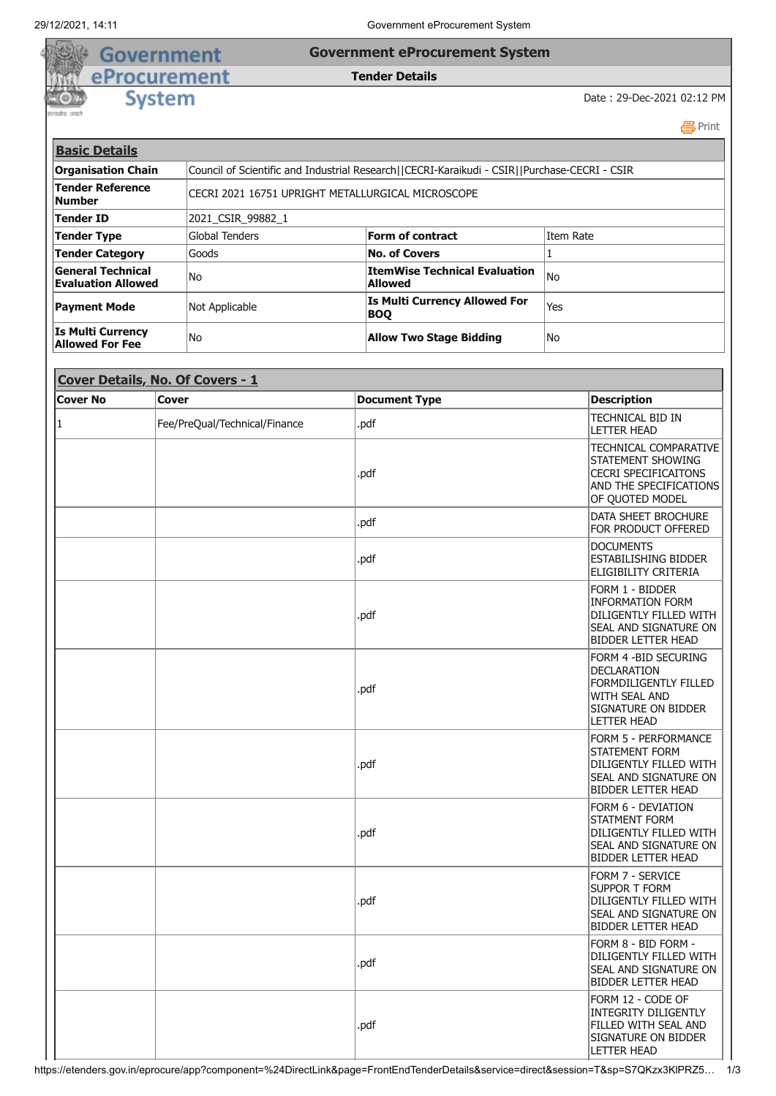## 29/12/2021, 14:11 Government eProcurement System

## **Government eProcurement System**

## **Tender Details**

**System** 

Government eProcurement

Date : 29-Dec-2021 02:12 PM

**吕Print Basic Details Organisation Chain** Council of Scientific and Industrial Research||CECRI-Karaikudi - CSIR||Purchase-CECRI - CSIR **Tender Reference Number Reference**<br>**Number CECRI 2021 16751 UPRIGHT METALLURGICAL MICROSCOPE Tender ID** 2021\_CSIR\_99882\_1 **Tender Type Form of contract Form of contract Form of contract Item Rate Tender Category Goods No. of Covers No. of Covers No. of Covers General Technical Evaluation Allowed** No **ItemWise Technical Evaluation Allowed** No **Payment Mode** Mot Applicable **Is Multi Currency Allowed For** Yes **Is Multi Currency Allow Two Stage Bidding Two Stage Bidding** 

| Cover Details, No. Of Covers - 1 |                               |                      |                                                                                                                                                  |  |  |
|----------------------------------|-------------------------------|----------------------|--------------------------------------------------------------------------------------------------------------------------------------------------|--|--|
| <b>Cover No</b>                  | <b>Cover</b>                  | <b>Document Type</b> | <b>Description</b>                                                                                                                               |  |  |
| 1                                | Fee/PreQual/Technical/Finance | .pdf                 | <b>TECHNICAL BID IN</b><br>LETTER HEAD                                                                                                           |  |  |
|                                  |                               | .pdf                 | <b>TECHNICAL COMPARATIVE</b><br>STATEMENT SHOWING<br><b>CECRI SPECIFICAITONS</b><br>AND THE SPECIFICATIONS<br>OF QUOTED MODEL                    |  |  |
|                                  |                               | .pdf                 | DATA SHEET BROCHURE<br>FOR PRODUCT OFFERED                                                                                                       |  |  |
|                                  |                               | .pdf                 | <b>DOCUMENTS</b><br><b>ESTABILISHING BIDDER</b><br>ELIGIBILITY CRITERIA                                                                          |  |  |
|                                  |                               | .pdf                 | Form 1 - Bidder<br><b>INFORMATION FORM</b><br>DILIGENTLY FILLED WITH<br>SEAL AND SIGNATURE ON<br><b>BIDDER LETTER HEAD</b>                       |  |  |
|                                  |                               | .pdf                 | FORM 4 - BID SECURING<br><b>DECLARATION</b><br><b>FORMDILIGENTLY FILLED</b><br><b>WITH SEAL AND</b><br>SIGNATURE ON BIDDER<br><b>LETTER HEAD</b> |  |  |
|                                  |                               | .pdf                 | <b>FORM 5 - PERFORMANCE</b><br><b>STATEMENT FORM</b><br>DILIGENTLY FILLED WITH<br>SEAL AND SIGNATURE ON<br><b>BIDDER LETTER HEAD</b>             |  |  |
|                                  |                               | .pdf                 | FORM 6 - DEVIATION<br><b>STATMENT FORM</b><br>DILIGENTLY FILLED WITH<br>SEAL AND SIGNATURE ON<br><b>BIDDER LETTER HEAD</b>                       |  |  |
|                                  |                               | .pdf                 | <b>FORM 7 - SERVICE</b><br><b>SUPPOR T FORM</b><br>DILIGENTLY FILLED WITH<br>SEAL AND SIGNATURE ON<br>BIDDER LETTER HEAD                         |  |  |
|                                  |                               | .pdf                 | FORM 8 - BID FORM -<br>DILIGENTLY FILLED WITH<br>SEAL AND SIGNATURE ON<br><b>BIDDER LETTER HEAD</b>                                              |  |  |
|                                  |                               | .pdf                 | FORM 12 - CODE OF<br><b>INTEGRITY DILIGENTLY</b><br>FILLED WITH SEAL AND<br>SIGNATURE ON BIDDER<br>LETTER HEAD                                   |  |  |

```
https://etenders.gov.in/eprocure/app?component=%24DirectLink&page=FrontEndTenderDetails&service=direct&session=T&sp=S7QKzx3KlPRZ5… 1/3
```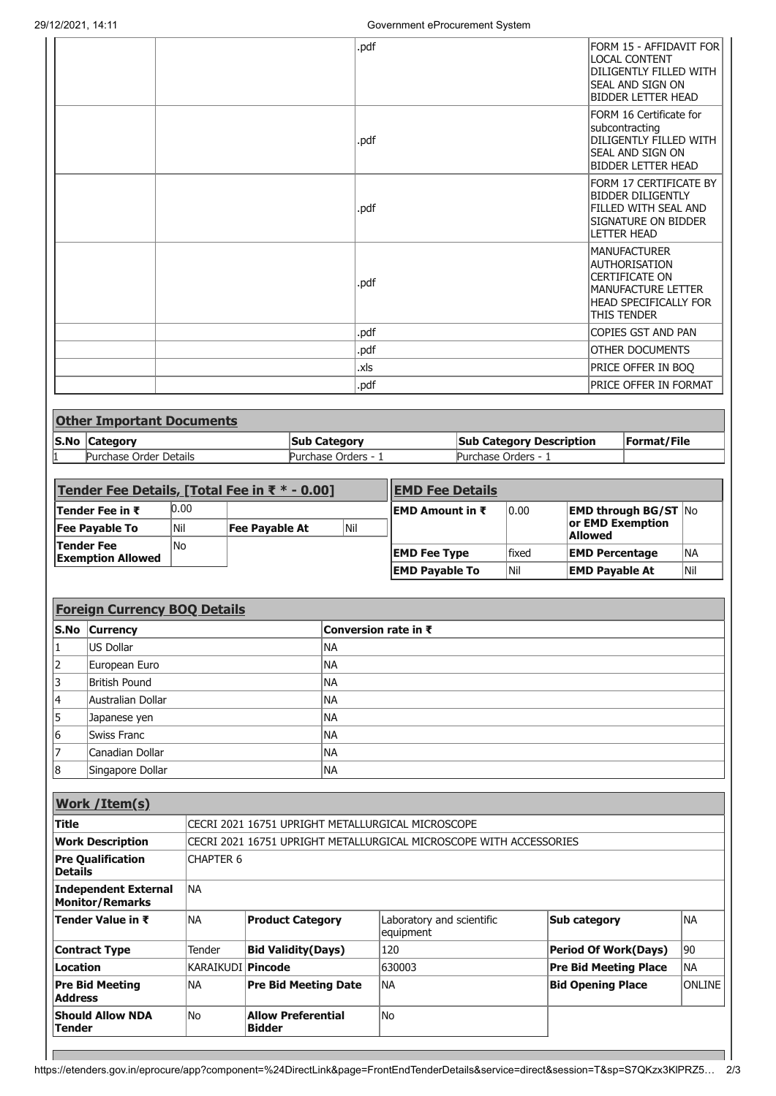|                                  | .pdf | FORM 15 - AFFIDAVIT FOR<br><b>LOCAL CONTENT</b><br>DILIGENTLY FILLED WITH<br>Seal and Sign on<br><b>BIDDER LETTER HEAD</b>                              |
|----------------------------------|------|---------------------------------------------------------------------------------------------------------------------------------------------------------|
|                                  | .pdf | FORM 16 Certificate for<br>subcontracting<br>DILIGENTLY FILLED WITH<br>Seal and sign on<br><b>BIDDER LETTER HEAD</b>                                    |
|                                  | .pdf | FORM 17 CERTIFICATE BY<br><b>BIDDER DILIGENTLY</b><br>FILLED WITH SEAL AND<br><b>SIGNATURE ON BIDDER</b><br><b>LETTER HEAD</b>                          |
|                                  | .pdf | <b>MANUFACTURER</b><br><b>AUTHORISATION</b><br><b>CERTIFICATE ON</b><br><b>MANUFACTURE LETTER</b><br><b>HEAD SPECIFICALLY FOR</b><br><b>THIS TENDER</b> |
|                                  | .pdf | <b>COPIES GST AND PAN</b>                                                                                                                               |
|                                  | .pdf | <b>OTHER DOCUMENTS</b>                                                                                                                                  |
|                                  | .xls | PRICE OFFER IN BOQ                                                                                                                                      |
|                                  | .pdf | PRICE OFFER IN FORMAT                                                                                                                                   |
| <b>Other Important Documents</b> |      |                                                                                                                                                         |

| <b>Pother Important Documents</b> |                     |                                 |                    |  |  |
|-----------------------------------|---------------------|---------------------------------|--------------------|--|--|
| S.No Category                     | <b>Sub Category</b> | <b>Sub Category Description</b> | <b>Format/File</b> |  |  |
| Purchase Order Details            | Purchase Orders - 1 | Purchase Orders -               |                    |  |  |

| Tender Fee Details, [Total Fee in ₹ $*$ - 0.00] |      |                       | <b>EMD Fee Details</b> |                         |        |                                                    |     |
|-------------------------------------------------|------|-----------------------|------------------------|-------------------------|--------|----------------------------------------------------|-----|
| <b>Tender Fee in ₹</b>                          | 0.00 |                       |                        | <b>IEMD Amount in ₹</b> | 0.00   | <b>EMD through BG/ST <math>\overline{N}</math></b> |     |
| <b>Fee Payable To</b>                           | Nil  | <b>Fee Pavable At</b> | Nil                    |                         |        | or EMD Exemption<br><b>Allowed</b>                 |     |
| <b>Tender Fee</b><br><b>Exemption Allowed</b>   | lNo  |                       |                        | <b>EMD Fee Type</b>     | lfixed | <b>EMD Percentage</b>                              | lna |
|                                                 |      |                       |                        | <b>EMD Payable To</b>   | Nil    | <b>EMD Payable At</b>                              | Nil |

|    | <b>Foreign Currency BOQ Details</b> |                             |  |  |  |
|----|-------------------------------------|-----------------------------|--|--|--|
|    | S.No Currency                       | <b>Conversion rate in ₹</b> |  |  |  |
|    | US Dollar                           | INA                         |  |  |  |
| 12 | European Euro                       | INA                         |  |  |  |
| 13 | British Pound                       | INA                         |  |  |  |
| 14 | Australian Dollar                   | INA                         |  |  |  |
| 15 | Japanese yen                        | INA                         |  |  |  |
| 16 | Swiss Franc                         | INA                         |  |  |  |
| 17 | Canadian Dollar                     | INA                         |  |  |  |
| 18 | Singapore Dollar                    | INA                         |  |  |  |

| <b>Work / Item(s)</b>                          |                     |                                                   |                                                                    |                              |               |  |
|------------------------------------------------|---------------------|---------------------------------------------------|--------------------------------------------------------------------|------------------------------|---------------|--|
| <b>Title</b>                                   |                     | CECRI 2021 16751 UPRIGHT METALLURGICAL MICROSCOPE |                                                                    |                              |               |  |
| <b>Work Description</b>                        |                     |                                                   | CECRI 2021 16751 UPRIGHT METALLURGICAL MICROSCOPE WITH ACCESSORIES |                              |               |  |
| <b>Pre Qualification</b><br><b>Details</b>     | CHAPTER 6           |                                                   |                                                                    |                              |               |  |
| Independent External<br><b>Monitor/Remarks</b> | <b>NA</b>           |                                                   |                                                                    |                              |               |  |
| Tender Value in ₹                              | <b>NA</b>           | <b>Product Category</b>                           | Laboratory and scientific<br>equipment                             | Sub category                 | <b>NA</b>     |  |
| <b>Contract Type</b>                           | Tender              | <b>Bid Validity (Days)</b>                        | 120                                                                | <b>Period Of Work(Days)</b>  | 190           |  |
| <b>Location</b>                                | KARAIKUDI   Pincode |                                                   | 630003                                                             | <b>Pre Bid Meeting Place</b> | INA.          |  |
| <b>Pre Bid Meeting</b><br><b>Address</b>       | INA                 | <b>Pre Bid Meeting Date</b>                       | <b>NA</b>                                                          | <b>Bid Opening Place</b>     | <b>ONLINE</b> |  |
| <b>Should Allow NDA</b><br> Tender             | lNo.                | <b>Allow Preferential</b><br><b>Bidder</b>        | No                                                                 |                              |               |  |